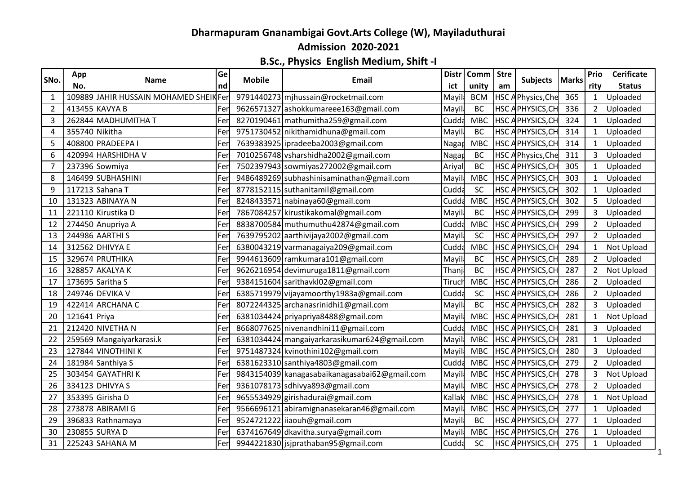## **Dharmapuram Gnanambigai Govt.Arts College (W), Mayiladuthurai**

**Admission 2020-2021**

## **B.Sc., Physics English Medium, Shift -I**

| SNo. | App          | Name                                  | Ge          | <b>Mobile</b> | Email                                         | <b>Distr</b> | Comm   Stre |                  | <b>Subjects</b>          | <b>Marks</b> | Prio           | <b>Cerificate</b> |
|------|--------------|---------------------------------------|-------------|---------------|-----------------------------------------------|--------------|-------------|------------------|--------------------------|--------------|----------------|-------------------|
|      | No.          |                                       | nd          |               |                                               | ict          | unity       | am               |                          |              | rity           | <b>Status</b>     |
| 1    |              | 109889 JAHIR HUSSAIN MOHAMED SHEIKFer |             |               | 9791440273 mjhussain@rocketmail.com           | Mayi         | <b>BCM</b>  |                  | <b>HSC APhysics, Che</b> | 365          | 1              | Uploaded          |
| 2    |              | 413455 KAVYA B                        | Fer         |               | 9626571327 ashokkumareee163@gmail.com         | Mayi         | <b>BC</b>   |                  | <b>HSC APHYSICS, CH</b>  | 336          | $\overline{2}$ | Uploaded          |
| 3    |              | 262844 MADHUMITHA T                   | Fer         |               | 8270190461 mathumitha 259@gmail.com           | Cudd         | <b>MBC</b>  |                  | HSC APHYSICS, CH         | 324          |                | Uploaded          |
| 4    |              | 355740 Nikitha                        | Fer         |               | 9751730452 nikithamidhuna@gmail.com           | Mayil        | <b>BC</b>   | HSC A            | PHYSICS, CH              | 314          | $\mathbf{1}$   | Uploaded          |
| 5    |              | 408800 PRADEEPA I                     | Fer         |               | 7639383925 ipradeeba2003@gmail.com            | Naga         | <b>MBC</b>  |                  | <b>HSC APHYSICS, CH</b>  | 314          | 1              | Uploaded          |
| 6    |              | 420994 HARSHIDHA V                    | Fer         |               | 7010256748 vsharshidha2002@gmail.com          | Naga         | BC          | HSC A            | Physics, Che             | 311          |                | Uploaded          |
| 7    |              | 237396 Sowmiya                        | Fer         |               | 7502397943 sowmiyas272002@gmail.com           | Ariyal       | <b>BC</b>   | HSC <sub>A</sub> | PHYSICS, CH              | 305          |                | Uploaded          |
| 8    |              | 146499 SUBHASHINI                     | Fer         |               | 9486489269 subhashinisaminathan@gmail.com     | Mayil        | <b>MBC</b>  |                  | HSC APHYSICS, CH         | 303          |                | Uploaded          |
| 9    |              | 117213 Sahana T                       | Fer         |               | 8778152115 suthanitamil@gmail.com             | Cudda        | SC          |                  | <b>HSC APHYSICS, CH</b>  | 302          | 1              | Uploaded          |
| 10   |              | 131323 ABINAYA N                      | Fer         |               | 8248433571 nabinaya60@gmail.com               | Cudd         | <b>MBC</b>  |                  | <b>HSC APHYSICS, CH</b>  | 302          | 5              | Uploaded          |
| 11   |              | 221110 Kirustika D                    | Fer         |               | 7867084257 kirustikakomal@gmail.com           | Mayi         | BC          | HSC <sub>A</sub> | PHYSICS, CH              | 299          | 3              | Uploaded          |
| 12   |              | 274450 Anupriya A                     | Fer         |               | 8838700584 muthumuthu42874@gmail.com          | Cudda        | <b>MBC</b>  | HSC <sub>A</sub> | PHYSICS, CH              | 299          | $\overline{2}$ | Uploaded          |
| 13   |              | 244986 AARTHI S                       | <b>IFer</b> |               | 7639795202 aarthivijaya2002@gmail.com         | Mayil        | SC          |                  | <b>HSC APHYSICS, CH</b>  | 297          | $\overline{2}$ | Uploaded          |
| 14   |              | 312562 DHIVYA E                       | Fer         |               | 6380043219 varmanagaiya209@gmail.com          | Cudd         | <b>MBC</b>  |                  | <b>HSC APHYSICS, CH</b>  | 294          |                | Not Upload        |
| 15   |              | 329674 PRUTHIKA                       | Fer         |               | 9944613609 ramkumara101@gmail.com             | Mayil        | <b>BC</b>   | HSC A            | PHYSICS, CH              | 289          | $\overline{2}$ | Uploaded          |
| 16   |              | 328857 AKALYA K                       | Fer         |               | 9626216954 devimuruga1811@gmail.com           | Thanj        | <b>BC</b>   |                  | HSC APHYSICS, CH         | 287          | $\overline{2}$ | <b>Not Upload</b> |
| 17   |              | 173695 Saritha S                      | Fer         |               | 9384151604 sarithavkl02@gmail.com             | Tiruc        | <b>MBC</b>  |                  | <b>HSC APHYSICS, CH</b>  | 286          | $\overline{2}$ | Uploaded          |
| 18   |              | 249746 DEVIKA V                       | Fer         |               | 6385719979 vijayamoorthy1983a@gmail.com       | Cudda        | SC          | HSC A            | PHYSICS, CH              | 286          | 2              | Uploaded          |
| 19   |              | 422414 ARCHANA C                      | Fer         |               | 8072244325 archanasrinidhi1@gmail.com         | Mayil        | <b>BC</b>   |                  | HSC APHYSICS, CH         | 282          | 3              | Uploaded          |
| 20   | 121641 Priya |                                       | Fer         |               | 6381034424 priyapriya8488@gmail.com           | Mayil        | <b>MBC</b>  |                  | <b>HSC APHYSICS, CH</b>  | 281          | 1              | <b>Not Upload</b> |
| 21   |              | 212420 NIVETHA N                      | Fer         |               | 8668077625 nivenandhini11@gmail.com           | Cudd         | <b>MBC</b>  |                  | <b>HSC APHYSICS, CH</b>  | 281          |                | Uploaded          |
| 22   |              | 259569 Mangaiyarkarasi.k              | Fer         |               | 6381034424 mangaiyarkarasikumar624@gmail.com  | Mayi         | <b>MBC</b>  |                  | <b>HSC APHYSICS, CH</b>  | 281          |                | Uploaded          |
| 23   |              | 127844 VINOTHINI K                    | Fer         |               | 9751487324 kvinothini102@gmail.com            | Mayi         | <b>MBC</b>  |                  | <b>HSC APHYSICS, CH</b>  | 280          | $\mathbf{3}$   | Uploaded          |
| 24   |              | 181984 Santhiya S                     | <b>IFer</b> |               | 6381623310 santhiya4803@gmail.com             | Cudda        | <b>MBC</b>  |                  | <b>HSC APHYSICS, CH</b>  | 279          | $\overline{2}$ | Uploaded          |
| 25   |              | 303454 GAYATHRIK                      | Fe          |               | 9843154039 kanagasabaikanagasabai62@gmail.com | Mayi         | <b>MBC</b>  | <b>HSCA</b>      | PHYSICS, CH              | 278          |                | Not Upload        |
| 26   |              | 334123 DHIVYA S                       | Fer         |               | 9361078173 sdhivya893@gmail.com               | Mayi         | <b>MBC</b>  | <b>HSCA</b>      | PHYSICS, CH              | 278          | $\overline{2}$ | Uploaded          |
| 27   |              | 353395 Girisha D                      | Fer         |               | 9655534929 girishadurai@gmail.com             | Kallak       | <b>MBC</b>  |                  | <b>HSC APHYSICS, CH</b>  | 278          |                | Not Upload        |
| 28   |              | 273878 ABIRAMI G                      | Fer         |               | 9566696121 abiramignanasekaran46@gmail.com    | Mayi         | <b>MBC</b>  |                  | <b>HSC APHYSICS, CH</b>  | 277          |                | Uploaded          |
| 29   |              | 396833 Rathnamaya                     | Fer         |               | 9524721222 iiaouh@gmail.com                   | Mayil        | <b>BC</b>   | HSC A            | PHYSICS, CH              | 277          |                | Uploaded          |
| 30   |              | 230855 SURYA D                        | Fer         |               | 6374167649 dkavitha.surya@gmail.com           | Mayi         | <b>MBC</b>  |                  | HSC APHYSICS, CH         | 276          |                | Uploaded          |
| 31   |              | 225243 SAHANA M                       | Fer         |               | 9944221830 jsjprathaban95@gmail.com           | Cudda        | SC          |                  | <b>HSC APHYSICS, CH</b>  | 275          | $\mathbf{1}$   | Uploaded          |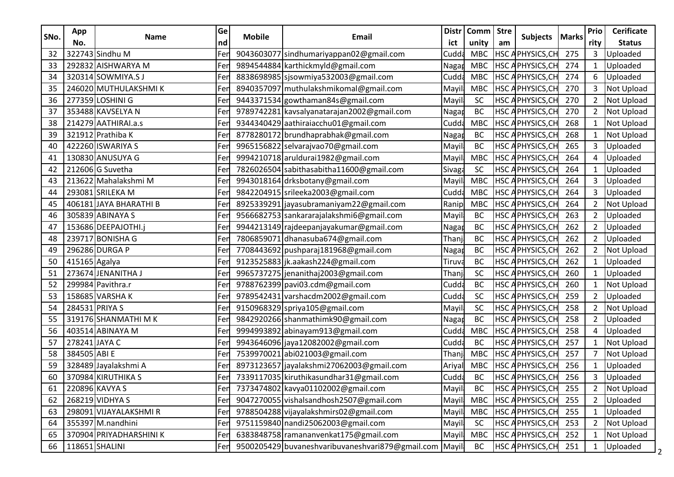|      | App            |                         | Ge  |               | Email                                                  | <b>Distr</b><br>Comm   Stre |            | Subjects |                         |              | Prio           | <b>Cerificate</b> |
|------|----------------|-------------------------|-----|---------------|--------------------------------------------------------|-----------------------------|------------|----------|-------------------------|--------------|----------------|-------------------|
| SNo. | No.            | <b>Name</b>             | nd  | <b>Mobile</b> |                                                        | ict                         | unity      | am       |                         | <b>Marks</b> | rity           | <b>Status</b>     |
| 32   |                | 322743 Sindhu M         | Fer |               | 9043603077 sindhumariyappan02@gmail.com                | Cudda                       | <b>MBC</b> |          | HSC APHYSICS, CH        | 275          | 3              | Uploaded          |
| 33   |                | 292832 AISHWARYA M      | Fer |               | 9894544884 karthickmyld@gmail.com                      | Nagan                       | <b>MBC</b> |          | <b>HSC APHYSICS, CH</b> | 274          | 1              | Uploaded          |
| 34   |                | 320314 SOWMIYA.SJ       | Fei |               | 8838698985 sjsowmiya532003@gmail.com                   | Cudda                       | <b>MBC</b> |          | HSC APHYSICS, CH        | 274          | 6              | Uploaded          |
| 35   |                | 246020 MUTHULAKSHMIK    | Fer |               | 8940357097 muthulakshmikomal@gmail.com                 | Mayi                        | <b>MBC</b> |          | <b>HSC APHYSICS, CH</b> | 270          | 3              | Not Upload        |
| 36   |                | 277359 LOSHINI G        | Fer |               | 9443371534 gowthaman84s@gmail.com                      | <b>Mayill</b>               | SC         |          | HSC APHYSICS, CH        | 270          | $\overline{2}$ | Not Upload        |
| 37   |                | 353488 KAVSELYA N       | Fer |               | 9789742281 kavsalyanatarajan2002@gmail.com             | Naga                        | BC         |          | HSC APHYSICS, CH        | 270          | $\overline{2}$ | Not Upload        |
| 38   |                | 214279 AATHIRAI.a.s     | Fer |               | 9344340429 aathiraiacchu01@gmail.com                   | Cudda                       | <b>MBC</b> |          | HSC APHYSICS, CH        | 268          | 1              | Not Upload        |
| 39   |                | 321912 Prathiba K       | Fer |               | 8778280172 brundhaprabhak@gmail.com                    | Nagar                       | BC         |          | HSC APHYSICS, CH        | 268          |                | Not Upload        |
| 40   |                | 422260 ISWARIYA S       | Fer |               | 9965156822 selvarajvao70@gmail.com                     | <b>Mayil</b>                | BC         |          | HSC APHYSICS, CH        | 265          | 3              | Uploaded          |
| 41   |                | 130830 ANUSUYA G        | Fer |               | 9994210718 aruldurai1982@gmail.com                     | Mayil                       | <b>MBC</b> |          | HSC APHYSICS, CH        | 264          | 4              | Uploaded          |
| 42   |                | 212606 G Suvetha        | Fer |               | 7826026504 sabithasabitha11600@gmail.com               | Sivaga                      | SC         |          | <b>HSC APHYSICS, CH</b> | 264          |                | Uploaded          |
| 43   |                | 213622 Mahalakshmi M    | Fer |               | 9943018164 drksbotany@gmail.com                        | Mayil                       | <b>MBC</b> |          | HSC APHYSICS, CH        | 264          | 3              | Uploaded          |
| 44   |                | 293081 SRILEKA M        | Fer |               | 9842204915 srileeka2003@gmail.com                      | Cudda                       | <b>MBC</b> |          | HSC APHYSICS, CH        | 264          | 3              | Uploaded          |
| 45   |                | 406181 JAYA BHARATHI B  | Fer |               | 8925339291 jayasubramaniyam22@gmail.com                | Ranip                       | <b>MBC</b> |          | <b>HSC APHYSICS, CH</b> | 264          | $2^{\circ}$    | Not Upload        |
| 46   |                | 305839 ABINAYA S        | Fer |               | 9566682753 sankararajalakshmi6@gmail.com               | Mayil                       | BC         |          | HSC APHYSICS, CH        | 263          | $\overline{2}$ | Uploaded          |
| 47   |                | 153686 DEEPAJOTHI.j     | Fer |               | 9944213149 rajdeepanjayakumar@gmail.com                | Naga                        | BC         |          | <b>HSC APHYSICS, CH</b> | 262          | $\overline{2}$ | Uploaded          |
| 48   |                | 239717 BONISHA G        | Fer |               | 7806859071 dhanasuba674@gmail.com                      | Thanj                       | <b>BC</b>  |          | HSC APHYSICS, CH        | 262          | $\overline{2}$ | Uploaded          |
| 49   |                | 296286 DURGA P          | Fer |               | 7708443692 pushparaj181968@gmail.com                   | Nagar                       | BC         |          | <b>HSC APHYSICS, CH</b> | 262          | $\overline{2}$ | Not Upload        |
| 50   | 415165 Agalya  |                         | Fer |               | 9123525883 jk.aakash224@gmail.com                      | Tiruva                      | <b>BC</b>  |          | <b>HSC APHYSICS, CH</b> | 262          |                | Uploaded          |
| 51   |                | 273674 JENANITHA J      | Fer |               | 9965737275 jenanithaj2003@gmail.com                    | Thanj                       | SC         |          | <b>HSC APHYSICS, CH</b> | 260          |                | Uploaded          |
| 52   |                | 299984 Pavithra.r       | Fer |               | 9788762399 pavi03.cdm@gmail.com                        | Cudda                       | BC         |          | <b>HSC APHYSICS, CH</b> | 260          | 1              | Not Upload        |
| 53   |                | 158685 VARSHAK          | Fer |               | 9789542431 varshacdm2002@gmail.com                     | Cudda                       | SC         |          | <b>HSC APHYSICS, CH</b> | 259          | $\overline{2}$ | Uploaded          |
| 54   | 284531 PRIYA S |                         | Fer |               | 9150968329 spriya105@gmail.com                         | Mayil                       | SC         |          | HSC APHYSICS, CH        | 258          | $\overline{2}$ | Not Upload        |
| 55   |                | 319176 SHANMATHI MK     | Fer |               | 9842920266 shanmathimk90@gmail.com                     | Nagar                       | BC         |          | <b>HSC APHYSICS, CH</b> | 258          | $\overline{2}$ | Uploaded          |
| 56   |                | 403514 ABINAYA M        | Fer |               | 9994993892 abinayam913@gmail.com                       | Cudda                       | <b>MBC</b> |          | <b>HSC APHYSICS, CH</b> | 258          | 4              | Uploaded          |
| 57   | 278241 JAYA C  |                         | Fer |               | 9943646096 jaya12082002@gmail.com                      | Cudda                       | <b>BC</b>  |          | HSC APHYSICS, CH        | 257          |                | Not Upload        |
| 58   | 384505 ABI E   |                         | Fer |               | 7539970021 abi021003@gmail.com                         | Thanj                       | <b>MBC</b> |          | HSC APHYSICS, CH        | 257          |                | Not Upload        |
| 59   |                | 328489 Jayalakshmi A    | Fer |               | 8973123657 jayalakshmi27062003@gmail.com               | Ariya                       | <b>MBC</b> |          | HSC APHYSICS, CH        | 256          |                | Uploaded          |
| 60   |                | 370984 KIRUTHIKA S      | Fer |               | 7339117035 kiruthikasundhar31@gmail.com                | Cudda                       | <b>BC</b>  |          | HSC APHYSICS, CH        | 256          | 3              | Uploaded          |
| 61   |                | 220896 KAVYA S          | Fer |               | 7373474802 kavya01102002@gmail.com                     | Mayil                       | BC         |          | HSC APHYSICS, CH        | 255          | $\overline{2}$ | Not Upload        |
| 62   |                | 268219 VIDHYA S         | Fer |               | 9047270055 vishalsandhosh2507@gmail.com                | Mayil                       | <b>MBC</b> |          | <b>HSC APHYSICS, CH</b> | 255          | $\mathbf{2}$   | Uploaded          |
| 63   |                | 298091 VIJAYALAKSHMI R  | Fer |               | 9788504288 vijayalakshmirs02@gmail.com                 | Mayil                       | <b>MBC</b> |          | HSC APHYSICS, CH        | 255          |                | Uploaded          |
| 64   |                | 355397 M.nandhini       | Fer |               | 9751159840 nandi25062003@gmail.com                     | <b>Mayil</b>                | <b>SC</b>  |          | <b>HSC APHYSICS, CH</b> | 253          | $\overline{2}$ | Not Upload        |
| 65   |                | 370904 PRIYADHARSHINI K | Fer |               | 6383848758 ramananvenkat175@gmail.com                  | Mayil                       | <b>MBC</b> |          | <b>HSC APHYSICS, CH</b> | 252          | $\mathbf{1}$   | Not Upload        |
| 66   | 118651 SHALINI |                         | Fer |               | 9500205429 buvaneshvaribuvaneshvari879@gmail.com Mayil |                             | BC         |          | <b>HSC APHYSICS, CH</b> | 251          |                | Uploaded          |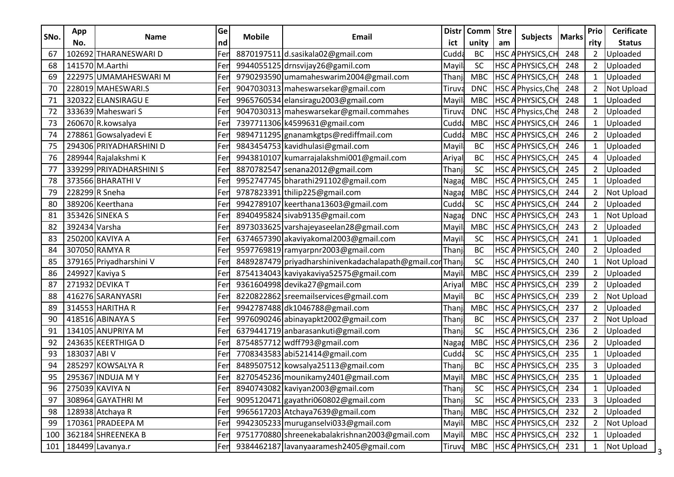|      | App           | <b>Name</b>             | Ge  |               | Email                                               | <b>Distr</b> | Comm   Stre | <b>Subjects</b> |                          |              | Prio           | <b>Cerificate</b> |
|------|---------------|-------------------------|-----|---------------|-----------------------------------------------------|--------------|-------------|-----------------|--------------------------|--------------|----------------|-------------------|
| SNo. | No.           |                         | nd  | <b>Mobile</b> |                                                     | ict          | unity       | am              |                          | <b>Marks</b> | rity           | <b>Status</b>     |
| 67   |               | 102692 THARANESWARI D   | Fer |               | 8870197511 d.sasikala02@gmail.com                   | Cudd         | <b>BC</b>   |                 | HSC APHYSICS, CH         | 248          | 2              | Uploaded          |
| 68   |               | 141570 M.Aarthi         | Fer |               | 9944055125 drnsvijay26@gamil.com                    | Mayi         | SC          |                 | <b>HSC APHYSICS, CH</b>  | 248          | $\overline{2}$ | Uploaded          |
| 69   |               | 222975 UMAMAHESWARI M   | Fer |               | 9790293590 umamaheswarim2004@gmail.com              | Thanj        | <b>MBC</b>  |                 | <b>HSC APHYSICS, CH</b>  | 248          |                | Uploaded          |
| 70   |               | 228019 MAHESWARI.S      | Fer |               | 9047030313 maheswarsekar@gmail.com                  | Tiruv        | <b>DNC</b>  |                 | HSC APhysics, Che        | 248          | $\overline{2}$ | Not Upload        |
| 71   |               | 320322 ELANSIRAGU E     | Fer |               | 9965760534 elansiragu2003@gmail.com                 | Mayi         | <b>MBC</b>  |                 | <b>HSC APHYSICS, CH</b>  | 248          |                | Uploaded          |
| 72   |               | 333639 Maheswari S      | Fer |               | 9047030313 maheswarsekar@gmail.commahes             | Tiruv        | <b>DNC</b>  |                 | <b>HSC APhysics, Che</b> | 248          | 2              | Uploaded          |
| 73   |               | 260670 R.kowsalya       | Fer |               | 7397711306 k4599631@gmail.com                       | Cudda        | <b>MBC</b>  |                 | <b>HSC APHYSICS, CH</b>  | 246          |                | Uploaded          |
| 74   |               | 278861 Gowsalyadevi E   | Fer |               | 9894711295 gnanamkgtps@rediffmail.com               | Cudda        | <b>MBC</b>  |                 | <b>HSC APHYSICS, CH</b>  | 246          | $\overline{2}$ | Uploaded          |
| 75   |               | 294306 PRIYADHARSHINI D | Fer |               | 9843454753 kavidhulasi@gmail.com                    | Mayi         | <b>BC</b>   |                 | <b>HSC APHYSICS, CH</b>  | 246          |                | Uploaded          |
| 76   |               | 289944 Rajalakshmi K    | Fer |               | 9943810107 kumarrajalakshmi001@gmail.com            | Ariyal       | <b>BC</b>   |                 | HSC APHYSICS, CH         | 245          | 4              | Uploaded          |
| 77   |               | 339299 PRIYADHARSHINI S | Fer |               | 8870782547 senana2012@gmail.com                     | Thanj        | SC          |                 | HSC APHYSICS, CH         | 245          | 2              | Uploaded          |
| 78   |               | 373566 BHARATHI V       | Fer |               | 9952747745 bharathi291102@gmail.com                 | Nagar        | <b>MBC</b>  |                 | <b>HSC APHYSICS, CH</b>  | 245          |                | Uploaded          |
| 79   |               | 228299 R Sneha          | Fer |               | 9787823391 thilip225@gmail.com                      | Nagar        | <b>MBC</b>  |                 | <b>HSC APHYSICS, CH</b>  | 244          | $\overline{2}$ | Not Upload        |
| 80   |               | 389206 Keerthana        | Fer |               | 9942789107 keerthana13603@gmail.com                 | Cudda        | SC          |                 | <b>HSC APHYSICS, CH</b>  | 244          | $\overline{2}$ | Uploaded          |
| 81   |               | 353426 SINEKA S         | Fer |               | 8940495824 sivab9135@gmail.com                      | Nagar        | <b>DNC</b>  |                 | <b>HSC APHYSICS, CH</b>  | 243          |                | Not Upload        |
| 82   | 392434 Varsha |                         | Fer |               | 8973033625 varshajeyaseelan28@gmail.com             | Mayi         | <b>MBC</b>  |                 | <b>HSC APHYSICS, CH</b>  | 243          | 2              | Uploaded          |
| 83   |               | 250200 KAVIYA A         | Fer |               | 6374657390 akaviyakomal2003@gmail.com               | Mayi         | SC          |                 | <b>HSC APHYSICS, CH</b>  | 241          | 1              | Uploaded          |
| 84   |               | 307050 RAMYA R          | Fer |               | 9597769819 ramyarpnr2003@gmail.com                  | Thanj        | <b>BC</b>   |                 | <b>HSC APHYSICS, CH</b>  | 240          | $\overline{2}$ | Uploaded          |
| 85   |               | 379165 Priyadharshini V | Fer |               | 8489287479 priyadharshinivenkadachalapath@gmail.cor | Thanj        | SC          |                 | HSC APHYSICS, CH         | 240          |                | Not Upload        |
| 86   |               | 249927 Kaviya S         | Fer |               | 8754134043 kaviyakaviya52575@gmail.com              | Mayi         | <b>MBC</b>  |                 | <b>HSC APHYSICS, CH</b>  | 239          | $\overline{2}$ | Uploaded          |
| 87   |               | 271932 DEVIKA T         | Fer |               | 9361604998 devika27@gmail.com                       | Ariya        | <b>MBC</b>  |                 | HSC APHYSICS, CH         | 239          | 2              | Uploaded          |
| 88   |               | 416276 SARANYASRI       | Fer |               | 8220822862 sreemailservices@gmail.com               | Mayi         | <b>BC</b>   |                 | <b>HSC APHYSICS, CH</b>  | 239          | $\overline{2}$ | Not Upload        |
| 89   |               | 314553 HARITHA R        | Fer |               | 9942787488 dk1046788@gmail.com                      | Thanj        | <b>MBC</b>  |                 | <b>HSC APHYSICS, CH</b>  | 237          | 2              | Uploaded          |
| 90   |               | 418516 ABINAYA S        | Fer |               | 9976090246 abinayapkt2002@gmail.com                 | Thanj        | <b>BC</b>   |                 | <b>HSC APHYSICS, CH</b>  | 237          | $\overline{2}$ | Not Upload        |
| 91   |               | 134105 ANUPRIYA M       | Fer |               | 6379441719 anbarasankuti@gmail.com                  | Thanj        | SC          |                 | <b>HSC APHYSICS, CH</b>  | 236          | $\overline{2}$ | Uploaded          |
| 92   |               | 243635 KEERTHIGA D      | Fer |               | 8754857712 wdff793@gmail.com                        | Naga         | <b>MBC</b>  |                 | HSC APHYSICS, CH         | 236          | 2              | Uploaded          |
| 93   | 183037 ABI V  |                         | Fer |               | 7708343583 abi521414@gmail.com                      | Cudda        | SC          |                 | <b>HSC APHYSICS, CH</b>  | 235          |                | Uploaded          |
| 94   |               | 285297 KOWSALYA R       | Fer |               | 8489507512 kowsalya25113@gmail.com                  | Thanj        | <b>BC</b>   |                 | HSC APHYSICS, CH         | 235          | 3              | Uploaded          |
| 95   |               | 295367 INDUJA MY        | Fer |               | 8270545236 mounikamy2401@gmail.com                  | Mayi         | <b>MBC</b>  |                 | HSC APHYSICS, CH         | 235          |                | Uploaded          |
| 96   |               | 275039 KAVIYA N         | Fer |               | 8940743082 kaviyan2003@gmail.com                    | Thanj        | <b>SC</b>   |                 | <b>HSC APHYSICS, CH</b>  | 234          |                | Uploaded          |
| 97   |               | 308964 GAYATHRI M       | Fer |               | 9095120471 gayathri060802@gmail.com                 | Thanj        | <b>SC</b>   |                 | <b>HSC APHYSICS, CH</b>  | 233          | 3              | Uploaded          |
| 98   |               | 128938 Atchaya R        | Fer |               | 9965617203 Atchaya7639@gmail.com                    | Thanj        | <b>MBC</b>  |                 | <b>HSC APHYSICS, CH</b>  | 232          | $\overline{2}$ | Uploaded          |
| 99   |               | 170361 PRADEEPA M       | Fer |               | 9942305233 muruganselvi033@gmail.com                | Mayil        | MBC         |                 | <b>HSC APHYSICS, CH</b>  | 232          | $\overline{2}$ | Not Upload        |
| 100  |               | 362184 SHREENEKA B      | Fer |               | 9751770880 shreenekabalakrishnan2003@gmail.com      | Mayil        | <b>MBC</b>  |                 | <b>HSC APHYSICS, CH</b>  | 232          |                | Uploaded          |
|      |               | 101   184499 Lavanya.r  | Fer |               | 9384462187 lavanyaaramesh2405@gmail.com             | Tiruva       |             |                 | MBC HSC APHYSICS, CH     | 231          | $\mathbf{1}$   | Not Upload        |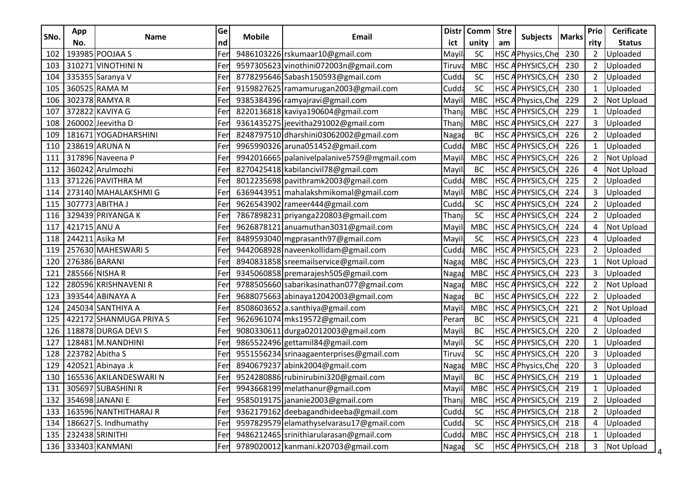| SNo.<br><b>Mobile</b><br>Email<br><b>Name</b><br>nd<br>unity<br>No.<br>ict<br>193985 POOJAA S<br><b>SC</b><br>Fer<br>9486103226 rskumaar10@gmail.com<br>102<br>Mayi<br><b>MBC</b><br>310271 VINOTHINI N<br>9597305623 vinothini072003n@gmail.com<br>103<br>Fer<br>Tiruva | am<br>HSC <sub>A</sub> | <b>Subjects</b><br>Physics, Che | <b>Marks</b> | rity           | <b>Status</b>     |
|--------------------------------------------------------------------------------------------------------------------------------------------------------------------------------------------------------------------------------------------------------------------------|------------------------|---------------------------------|--------------|----------------|-------------------|
|                                                                                                                                                                                                                                                                          |                        |                                 |              |                |                   |
|                                                                                                                                                                                                                                                                          |                        |                                 | 230          | 2              | Uploaded          |
|                                                                                                                                                                                                                                                                          |                        | <b>HSC APHYSICS, CH</b>         | 230          | $\overline{2}$ | Uploaded          |
| SC<br>335355 Saranya V<br>Fer<br>8778295646 Sabash150593@gmail.com<br>104<br>Cudda                                                                                                                                                                                       |                        | <b>HSC APHYSICS, CH</b>         | 230          | $\overline{2}$ | Uploaded          |
| 360525 RAMA M<br>9159827625 ramamurugan2003@gmail.com<br>SC<br>Cudda<br>105<br>Fer                                                                                                                                                                                       |                        | <b>HSC APHYSICS, CH</b>         | 230          |                | Uploaded          |
| 302378 RAMYA R<br><b>MBC</b><br>9385384396 ramyajravi@gmail.com<br>106<br>Fer<br>Mayil                                                                                                                                                                                   |                        | <b>HSC APhysics, Che</b>        | 229          | $\overline{2}$ | <b>Not Upload</b> |
| 372822 KAVIYA G<br>8220136818 kaviya190604@gmail.com<br><b>MBC</b><br>Fer<br>107<br>Thanj                                                                                                                                                                                |                        | HSC APHYSICS, CH                | 229          |                | Uploaded          |
| 260002 Jeevitha D<br>9361435275 jeevitha 291002@gmail.com<br><b>MBC</b><br>Fer<br>Thanj<br>108                                                                                                                                                                           |                        | <b>HSC APHYSICS, CH</b>         | 227          | 3              | Uploaded          |
| 181671 YOGADHARSHINI<br>8248797510 dharshini03062002@gmail.com<br>BC<br>Fer<br>109<br>Naga                                                                                                                                                                               |                        | <b>HSC APHYSICS, CH</b>         | 226          |                | Uploaded          |
| 238619 ARUNA N<br>9965990326 aruna051452@gmail.com<br><b>MBC</b><br>110<br>Fer<br>Cudda                                                                                                                                                                                  |                        | <b>HSC APHYSICS, CH</b>         | 226          |                | Uploaded          |
| 317896 Naveena P<br>9942016665   palanivel palanive 5759@ mgmail.com<br><b>MBC</b><br>111<br>Fer<br>Mayil                                                                                                                                                                |                        | <b>HSC APHYSICS, CH</b>         | 226          | $\overline{2}$ | <b>Not Upload</b> |
| 360242 Arulmozhi<br>8270425418 kabilancivil 78@gmail.com<br><b>BC</b><br>Fer<br>112<br>Mayil                                                                                                                                                                             |                        | HSC APHYSICS, CH                | 226          |                | Not Upload        |
| 371226 PAVITHRA M<br>8012235698 pavithramk2003@gmail.com<br><b>MBC</b><br>Cudda<br>113<br>Fer                                                                                                                                                                            |                        | <b>HSC APHYSICS, CH</b>         | 225          | 2              | Uploaded          |
| 273140 MAHALAKSHMI G<br><b>MBC</b><br>Fer<br>6369443951 mahalakshmikomal@gmail.com<br>114<br>Mayil                                                                                                                                                                       |                        | <b>HSC APHYSICS, CH</b>         | 224          | 3              | Uploaded          |
| 307773 ABITHA J<br>SC<br>9626543902 rameer444@gmail.com<br>115<br>Fer<br>Cudda                                                                                                                                                                                           |                        | <b>HSC APHYSICS, CH</b>         | 224          | $2^{\circ}$    | Uploaded          |
| SC<br>329439 PRIYANGA K<br>116<br>Fer<br>7867898231 priyanga220803@gmail.com<br>Thanj                                                                                                                                                                                    |                        | HSC APHYSICS, CH                | 224          | 2              | Uploaded          |
| 421715 ANU A<br>9626878121 anuamuthan3031@gmail.com<br><b>MBC</b><br>117<br>Fer<br>Mayi                                                                                                                                                                                  | HSC <sub>A</sub>       | PHYSICS, CH                     | 224          |                | Not Upload        |
| SC<br>244211 Asika M<br>8489593040 mgprasanth97@gmail.com<br>118<br>Mayil<br>Fer                                                                                                                                                                                         |                        | <b>HSC APHYSICS, CH</b>         | 223          | 4              | Uploaded          |
| 257630 MAHESWARI S<br>9442068928 naveenkollidam@gmail.com<br><b>MBC</b><br>Fer<br>119<br>Cudd                                                                                                                                                                            |                        | <b>HSC APHYSICS, CH</b>         | 223          |                | Uploaded          |
| 276386 BARANI<br>8940831858 sreemailservice@gmail.com<br><b>MBC</b><br>120<br>Fer<br>Nagar                                                                                                                                                                               |                        | <b>HSC APHYSICS, CH</b>         | 223          |                | Not Upload        |
| 285566 NISHA R<br>9345060858 premarajesh505@gmail.com<br><b>MBC</b><br>121<br>Fer<br><b>Nagar</b>                                                                                                                                                                        |                        | <b>HSC APHYSICS, CH</b>         | 223          | 3              | Uploaded          |
| 280596 KRISHNAVENI R<br>9788505660 sabarikasinathan077@gmail.com<br><b>MBC</b><br>Fer<br>122<br>Naga                                                                                                                                                                     |                        | HSC APHYSICS, CH                | 222          |                | Not Upload        |
| 393544 ABINAYA A<br>9688075663 abinaya12042003@gmail.com<br>BC<br>123<br>Fer<br>Nagap                                                                                                                                                                                    |                        | HSC APHYSICS, CH                | 222          | $\overline{2}$ | Uploaded          |
| 245034 SANTHIYA A<br>8508603652 a.santhiya@gmail.com<br><b>MBC</b><br>124<br>Fer<br>Mayi                                                                                                                                                                                 |                        | <b>HSC APHYSICS, CH</b>         | 221          | 2              | Not Upload        |
| 422172 SHANMUGA PRIYA S<br>9626961074 mks19572@gmail.com<br><b>BC</b><br>125<br>Fer<br>Peran                                                                                                                                                                             |                        | <b>HSC APHYSICS, CH</b>         | 221          |                | Uploaded          |
| 118878 DURGA DEVI S<br>9080330611 durga02012003@gmail.com<br>BC<br>126<br>Fer<br>Mayil                                                                                                                                                                                   |                        | HSC APHYSICS, CH                | 220          | $\mathbf{2}$   | Uploaded          |
| SC<br>9865522496 gettamil84@gmail.com<br>128481 M.NANDHINI<br>127<br>Fer<br>Mayi                                                                                                                                                                                         | HSC <sub>A</sub>       | PHYSICS, CH                     | 220          |                | Uploaded          |
| SC<br>223782 Abitha S<br>9551556234 srinaagaenterprises@gmail.com<br>128<br>Fer<br>Tiruva                                                                                                                                                                                |                        | HSC APHYSICS, CH                | 220          | 3              | Uploaded          |
| 420521 Abinaya .k<br>8940679237 abink2004@gmail.com<br><b>MBC</b><br>129<br>Fei<br>Naga                                                                                                                                                                                  |                        | <b>HSC APhysics, Che</b>        | 220          |                | Uploaded          |
| 165536 AKILANDESWARI N<br>9524280886 rubinirubini320@gmail.com<br>BC<br>Fer<br>130<br>Mayil                                                                                                                                                                              |                        | <b>HSC APHYSICS, CH</b>         | 219          |                | Uploaded          |
| 9943668199 melathanur@gmail.com<br>Mayil<br>131 305697 SUBASHINI R<br>Fer                                                                                                                                                                                                |                        | MBC HSC APHYSICS, CH            | 219          |                | Uploaded          |
| 132 354698 JANANI E<br>9585019175 jananie2003@gmail.com<br><b>MBC</b><br>Thanj<br>Fer                                                                                                                                                                                    |                        | <b>HSC APHYSICS, CH</b>         | 219          | $\mathbf{2}$   | Uploaded          |
| 133   163596 NANTHITHARAJ R<br>9362179162 deebagandhideeba@gmail.com<br>SC<br>Fer<br>Cudda                                                                                                                                                                               |                        | <b>HSC APHYSICS, CH</b>         | 218          | $\overline{2}$ | Uploaded          |
| SC<br>186627 S. Indhumathy<br>Fer<br>9597829579 elamathyselvarasu17@gmail.com<br>Cudda<br>134                                                                                                                                                                            |                        | <b>HSC APHYSICS, CH</b>         | 218          |                | Uploaded          |
| 232438 SRINITHI<br>9486212465 srinithiarularasan@gmail.com<br>Fer<br>Cudda<br><b>MBC</b><br>135                                                                                                                                                                          |                        | <b>HSC APHYSICS, CH</b>         | 218          |                | Uploaded          |
| 136 333403 KANMANI<br>9789020012 kanmani.k20703@gmail.com<br>SC<br>Fer<br>Nagar                                                                                                                                                                                          |                        | <b>HSC APHYSICS, CH</b>         | 218          |                | 3 Not Upload      |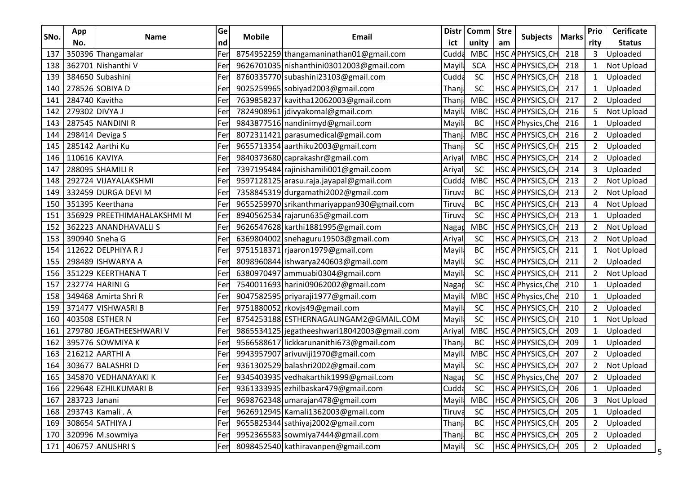| SNo. | App            |                             | Ge  |               | <b>Distr</b><br>Email<br>ict                | Comm   Stre | <b>Subjects</b> |    |                          | Prio         | <b>Cerificate</b> |               |
|------|----------------|-----------------------------|-----|---------------|---------------------------------------------|-------------|-----------------|----|--------------------------|--------------|-------------------|---------------|
|      | No.            | Name                        | nd  | <b>Mobile</b> |                                             |             | unity           | am |                          | <b>Marks</b> | rity              | <b>Status</b> |
| 137  |                | 350396 Thangamalar          | Fer |               | 8754952259 thangamaninathan01@gmail.com     | Cudd        | <b>MBC</b>      |    | HSC APHYSICS, CH         | 218          | 3                 | Uploaded      |
| 138  |                | 362701 Nishanthi V          | Fer |               | 9626701035 nishanthini03012003@gmail.com    | Mayi        | <b>SCA</b>      |    | <b>HSC APHYSICS, CH</b>  | 218          | $\mathbf{1}$      | Not Upload    |
| 139  |                | 384650 Subashini            | Fer |               | 8760335770 subashini23103@gmail.com         | Cudda       | SC              |    | <b>HSC APHYSICS, CH</b>  | 218          |                   | Uploaded      |
| 140  |                | 278526 SOBIYA D             | Fer |               | 9025259965 sobiyad2003@gmail.com            | Thanj       | SC              |    | <b>HSC APHYSICS, CH</b>  | 217          |                   | Uploaded      |
| 141  | 284740 Kavitha |                             | Fer |               | 7639858237 kavitha12062003@gmail.com        | Thanj       | <b>MBC</b>      |    | <b>HSC APHYSICS, CH</b>  | 217          | 2                 | Uploaded      |
| 142  | 279302 DIVYA J |                             | Fer |               | 7824908961 jdivyakomal@gmail.com            | Mayi        | <b>MBC</b>      |    | HSC APHYSICS, CH         | 216          | 5                 | Not Upload    |
| 143  |                | 287545 NANDINI R            | Fer |               | 9843877516 nandinimyd@gmail.com             | Mayi        | <b>BC</b>       |    | <b>HSC APhysics, Che</b> | 216          |                   | Uploaded      |
| 144  |                | 298414 Deviga S             | Fer |               | 8072311421 parasumedical@gmail.com          | Thanj       | <b>MBC</b>      |    | <b>HSC APHYSICS, CH</b>  | 216          | $\overline{2}$    | Uploaded      |
| 145  |                | 285142 Aarthi Ku            | Fer |               | 9655713354 aarthiku2003@gmail.com           | Than        | SC              |    | <b>HSC APHYSICS, CH</b>  | 215          | $\overline{2}$    | Uploaded      |
| 146  | 110616 KAVIYA  |                             | Fer |               | 9840373680 caprakashr@gmail.com             | Ariyal      | <b>MBC</b>      |    | <b>HSC APHYSICS, CH</b>  | 214          | 2                 | Uploaded      |
| 147  |                | 288095 SHAMILI R            | Fer |               | 7397195484 rajinishamili001@gmail.coom      | Ariyal      | SC              |    | HSC APHYSICS, CH         | 214          | 3                 | Uploaded      |
| 148  |                | 292724 VIJAYALAKSHMI        | Fer |               | 9597128125 arasu.raja.jayapal@gmail.com     | Cudda       | <b>MBC</b>      |    | <b>HSC APHYSICS, CH</b>  | 213          | $\overline{2}$    | Not Upload    |
| 149  |                | 332459 DURGA DEVI M         | Fer |               | 7358845319 durgamathi2002@gmail.com         | Tiruva      | <b>BC</b>       |    | <b>HSC APHYSICS, CH</b>  | 213          | $\overline{2}$    | Not Upload    |
| 150  |                | 351395 Keerthana            | Fer |               | 9655259970 srikanthmariyappan930@gmail.com  | Tiruv       | <b>BC</b>       |    | HSC APHYSICS, CH         | 213          | 4                 | Not Upload    |
| 151  |                | 356929 PREETHIMAHALAKSHMI M | Fer |               | 8940562534 rajarun635@gmail.com             | Tiruva      | SC              |    | HSC APHYSICS, CH         | 213          |                   | Uploaded      |
| 152  |                | 362223 ANANDHAVALLIS        | Fer |               | 9626547628 karthi1881995@gmail.com          | Nagar       | <b>MBC</b>      |    | HSC APHYSICS, CH         | 213          | 2                 | Not Upload    |
| 153  |                | 390940 Sneha G              | Fer |               | 6369804002 snehaguru19503@gmail.com         | Ariyal      | SC              |    | <b>HSC APHYSICS, CH</b>  | 213          | $\overline{2}$    | Not Upload    |
| 154  |                | 112622 DELPHIYA R J         | Fer |               | 9751518371 rjaaron1979@gmail.com            | Mayil       | <b>BC</b>       |    | <b>HSC APHYSICS, CH</b>  | 211          |                   | Not Upload    |
| 155  |                | 298489 ISHWARYA A           | Fer |               | 8098960844 ishwarya240603@gmail.com         | Mayi        | SC              |    | HSC APHYSICS, CH         | 211          | $\overline{2}$    | Uploaded      |
| 156  |                | 351229 KEERTHANA T          | Fer |               | 6380970497 ammuabi0304@gmail.com            | Mayi        | SC              |    | <b>HSC APHYSICS, CH</b>  | 211          | $\overline{2}$    | Not Upload    |
| 157  |                | 232774 HARINI G             | Fer |               | 7540011693 harini09062002@gmail.com         | Naga        | SC              |    | <b>HSC APhysics, Che</b> | 210          |                   | Uploaded      |
| 158  |                | 349468 Amirta Shri R        | Fer |               | 9047582595 priyaraji1977@gmail.com          | Mayi        | <b>MBC</b>      |    | HSC APhysics, Che        | 210          | 1                 | Uploaded      |
| 159  |                | 371477 VISHWASRI B          | Fer |               | 9751880052 rkovjs49@gmail.com               | Mayi        | SC              |    | <b>HSC APHYSICS, CH</b>  | 210          | $\overline{2}$    | Uploaded      |
| 160  |                | 403508 ESTHER N             | Fer |               | 8754253188 ESTHERNAGALINGAM2@GMAIL.COM      | Mayi        | SC              |    | HSC APHYSICS, CH         | 210          |                   | Not Upload    |
| 161  |                | 279780 JEGATHEESHWARI V     | Fer |               | 9865534125 jegatheeshwari18042003@gmail.com | Ariyal      | <b>MBC</b>      |    | <b>HSC APHYSICS, CH</b>  | 209          |                   | Uploaded      |
| 162  |                | 395776 SOWMIYA K            | Fer |               | 9566588617 lickkarunanithi673@gmail.com     | Thanj       | <b>BC</b>       |    | HSC APHYSICS, CH         | 209          |                   | Uploaded      |
| 163  |                | 216212 AARTHI A             | Fer |               | 9943957907 arivuviji1970@gmail.com          | Mayi        | <b>MBC</b>      |    | <b>HSC APHYSICS, CH</b>  | 207          | $\overline{2}$    | Uploaded      |
| 164  |                | 303677 BALASHRI D           | Fer |               | 9361302529 balashri2002@gmail.com           | Mayi        | SC              |    | <b>HSC APHYSICS, CH</b>  | 207          |                   | Not Upload    |
| 165  |                | 345870 VEDHANAYAKI K        | Fer |               | 9345403935 vedhakarthik1999@gmail.com       | Naga        | SC              |    | <b>HSC APhysics, Che</b> | 207          | $\overline{2}$    | Uploaded      |
|      |                | 166 229648 EZHILKUMARI B    | Fer |               | 9361333935 ezhilbaskar479@gmail.com         | Cudda       | <b>SC</b>       |    | <b>HSC APHYSICS, CH</b>  | 206          |                   | Uploaded      |
| 167  | 283723 Janani  |                             | Fer |               | 9698762348 umarajan478@gmail.com            | Mayil       | <b>MBC</b>      |    | <b>HSC APHYSICS, CH</b>  | 206          | 3                 | Not Upload    |
|      |                | 168   293743 Kamali . A     | Fer |               | 9626912945 Kamali1362003@gmail.com          | Tiruva      | <b>SC</b>       |    | <b>HSC APHYSICS, CH</b>  | 205          | 1                 | Uploaded      |
| 169  |                | 308654 SATHIYA J            | Fer |               | 9655825344 sathiyaj2002@gmail.com           | Thanj       | <b>BC</b>       |    | <b>HSC APHYSICS, CH</b>  | 205          | $\overline{2}$    | Uploaded      |
| 170  |                | 320996 M.sowmiya            | Fer |               | 9952365583 sowmiya7444@gmail.com            | Thanj       | BC              |    | HSC APHYSICS, CH         | 205          | $\overline{2}$    | Uploaded      |
|      |                | 171 406757 ANUSHRIS         | Fer |               | 8098452540 kathiravanpen@gmail.com          | Mayil       | <b>SC</b>       |    | <b>HSC APHYSICS, CH</b>  | 205          | $\mathbf{2}$      | Uploaded      |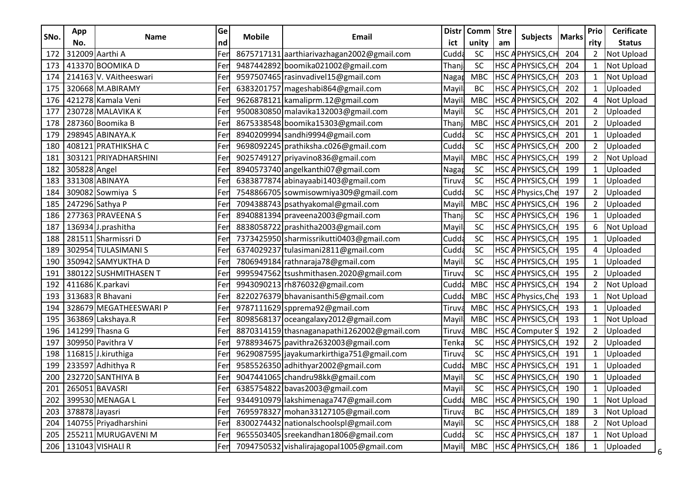| SNo. | App                | <b>Name</b>            | Ge<br><b>Distr</b><br><b>Mobile</b><br>Email | Comm   Stre                                 |        | <b>Subjects</b> | <b>Marks</b>     | Prio                     | <b>Cerificate</b> |                |                 |
|------|--------------------|------------------------|----------------------------------------------|---------------------------------------------|--------|-----------------|------------------|--------------------------|-------------------|----------------|-----------------|
|      | No.                |                        | nd                                           |                                             | ict    | unity           | am               |                          |                   | rity           | <b>Status</b>   |
| 172  |                    | 312009 Aarthi A        | Fer                                          | 8675717131 aarthiarivazhagan 2002@gmail.com | Cudd   | <b>SC</b>       | HSC <sub>A</sub> | PHYSICS, CH              | 204               | 2              | Not Upload      |
| 173  |                    | 413370 BOOMIKA D       | Fer                                          | 9487442892 boomika021002@gmail.com          | Thanj  | SC              | HSC <sub>A</sub> | PHYSICS, CH              | 204               | 1              | Not Upload      |
| 174  |                    | 214163 V. VAitheeswari | Fer                                          | 9597507465 rasinvadivel15@gmail.com         | Nagar  | <b>MBC</b>      |                  | <b>HSC APHYSICS, CH</b>  | 203               |                | Not Upload      |
| 175  |                    | 320668 M.ABIRAMY       | Fer                                          | 6383201757 mageshabi864@gmail.com           | Mayi   | BC              |                  | <b>HSC APHYSICS, CH</b>  | 202               |                | Uploaded        |
| 176  |                    | 421278 Kamala Veni     | Fer                                          | 9626878121 kamaliprm.12@gmail.com           | Mayi   | <b>MBC</b>      |                  | <b>HSC APHYSICS, CH</b>  | 202               | 4              | Not Upload      |
| 177  |                    | 230728 MALAVIKA K      | Fer                                          | 9500830850 malavika132003@gmail.com         | Mayil  | SC              | HSC <sub>A</sub> | PHYSICS, CH              | 201               |                | Uploaded        |
| 178  |                    | 287360 Boomika B       | Fer                                          | 8675338548 boomika15303@gmail.com           | Thanj  | <b>MBC</b>      |                  | HSC APHYSICS, CH         | 201               | $\overline{2}$ | Uploaded        |
| 179  |                    | 298945 ABINAYA.K       | Fer                                          | 8940209994 sandhi9994@gmail.com             | Cudda  | SC              |                  | <b>HSC APHYSICS, CH</b>  | 201               |                | Uploaded        |
| 180  |                    | 408121 PRATHIKSHA C    | Fer                                          | 9698092245 prathiksha.c026@gmail.com        | Cudda  | SC              |                  | HSC APHYSICS, CH         | 200               | $\overline{2}$ | Uploaded        |
| 181  |                    | 303121 PRIYADHARSHINI  | Fer                                          | 9025749127 priyavino836@gmail.com           | Mayil  | <b>MBC</b>      |                  | <b>HSC APHYSICS, CH</b>  | 199               | $\mathbf{2}$   | Not Upload      |
| 182  | 305828 Angel       |                        | Fer                                          | 8940573740 angelkanthi07@gmail.com          | Nagar  | SC              |                  | HSC APHYSICS, CH         | 199               |                | Uploaded        |
| 183  |                    | 331308 ABINAYA         | Fer                                          | 6383877874 abinayaabi1403@gmail.com         | Tiruva | SC              |                  | HSC APHYSICS, CH         | 199               |                | Uploaded        |
| 184  |                    | 309082 Sowmiya S       | Fer                                          | 7548866705 sowmisowmiya309@gmail.com        | Cudda  | SC              |                  | HSC APhysics, Che        | 197               | $\overline{2}$ | Uploaded        |
| 185  |                    | 247296 Sathya P        | Fer                                          | 7094388743 psathyakomal@gmail.com           | Mayi   | <b>MBC</b>      |                  | HSC APHYSICS, CH         | 196               | $2^{\circ}$    | Uploaded        |
| 186  |                    | 277363 PRAVEENA S      | Fer                                          | 8940881394 praveena2003@gmail.com           | Thanj  | SC              |                  | HSC APHYSICS, CH         | 196               |                | Uploaded        |
| 187  |                    | 136934 J.prashitha     | Fer                                          | 8838058722 prashitha 2003@gmail.com         | Mayil  | <b>SC</b>       | HSC <sub>A</sub> | PHYSICS, CH              | 195               | 6              | Not Upload      |
| 188  |                    | 281511 Sharmissri D    | Fer                                          | 7373425950 sharmissrikutti0403@gmail.com    | Cudda  | SC              |                  | <b>HSC APHYSICS, CH</b>  | 195               |                | Uploaded        |
| 189  |                    | 302954 TULASIMANI S    | Fer                                          | 6374029237 tulasimani2811@gmail.com         | Cudda  | SC              |                  | <b>HSC APHYSICS, CH</b>  | 195               | 4              | Uploaded        |
| 190  |                    | 350942 SAMYUKTHA D     | Fer                                          | 7806949184 rathnaraja78@gmail.com           | Mayil  | SC              |                  | <b>HSC APHYSICS, CH</b>  | 195               |                | Uploaded        |
| 191  |                    | 380122 SUSHMITHASEN T  | Fer                                          | 9995947562 tsushmithasen.2020@gmail.com     | Tiruva | SC              |                  | HSC APHYSICS, CH         | 195               | $\overline{2}$ | Uploaded        |
| 192  |                    | 411686 K.parkavi       | Fer                                          | 9943090213 rh876032@gmail.com               | Cudd   | <b>MBC</b>      | HSC <sub>A</sub> | PHYSICS, CH              | 194               | 2              | Not Upload      |
| 193  |                    | 313683 R Bhavani       | Fer                                          | 8220276379 bhavanisanthi5@gmail.com         | Cudda  | <b>MBC</b>      |                  | <b>HSC APhysics, Che</b> | 193               | 1              | Not Upload      |
| 194  |                    | 328679 MEGATHEESWARI P | Fer                                          | 9787111629 spprema92@gmail.com              | Tiruv  | <b>MBC</b>      |                  | <b>HSC APHYSICS, CH</b>  | 193               |                | Uploaded        |
| 195  |                    | 363869 Lakshaya.R      | Fer                                          | 8098568137 oceangalaxy2012@gmail.com        | Mayi   | <b>MBC</b>      |                  | <b>HSC APHYSICS, CH</b>  | 193               |                | Not Upload      |
| 196  |                    | 141299 Thasna G        | Fer                                          | 8870314159 thasnaganapathi1262002@gmail.com | Tiruv  | <b>MBC</b>      |                  | <b>HSC AComputer S</b>   | 192               | $\overline{2}$ | Uploaded        |
| 197  |                    | 309950 Pavithra V      | Fer                                          | 9788934675 pavithra2632003@gmail.com        | Tenka  | SC              | HSC <sub>A</sub> | PHYSICS, CH              | 192               |                | Uploaded        |
| 198  |                    | 116815 J.kiruthiga     | Fer                                          | 9629087595 jayakumarkirthiga751@gmail.com   | Tiruva | SC              |                  | HSC APHYSICS, CH         | 191               | 1              | Uploaded        |
| 199  |                    | 233597 Adhithya R      | Fei                                          | 9585526350 adhithyar2002@gmail.com          | Cudda  | <b>MBC</b>      |                  | <b>HSC APHYSICS, CH</b>  | 191               |                | Uploaded        |
| 200  |                    | 232720 SANTHIYA B      | Fer                                          | 9047441065 chandru98kk@gmail.com            | Mayil  | SC              |                  | HSC APHYSICS, CH         | 190               |                | Uploaded        |
|      |                    | 201 265051 BAVASRI     | Fer                                          | 6385754822 bavas2003@gmail.com              | Mayil  | SC              |                  | HSC APHYSICS, CH 190     |                   |                | Uploaded        |
| 202  |                    | 399530 MENAGA L        | Fer                                          | 9344910979 lakshimenaga747@gmail.com        | Cudda  | <b>MBC</b>      |                  | <b>HSC APHYSICS, CH</b>  | 190               |                | Not Upload      |
|      | 203 378878 Jayasri |                        | Fer                                          | 7695978327 mohan33127105@gmail.com          | Tiruva | <b>BC</b>       |                  | HSC APHYSICS, CH         | 189               | $\mathbf{3}$   | Not Upload      |
| 204  |                    | 140755 Priyadharshini  | Fer                                          | 8300274432 nationalschoolspl@gmail.com      | Mayil  | SC              |                  | <b>HSC APHYSICS, CH</b>  | 188               |                | Not Upload      |
| 205  |                    | 255211 MURUGAVENI M    | Fer                                          | 9655503405 sreekandhan1806@gmail.com        | Cudda  | SC              |                  | <b>HSC APHYSICS, CH</b>  | 187               | 1              | Not Upload      |
|      |                    | 206 31043 VISHALI R    | Fer                                          | 7094750532 vishalirajagopal1005@gmail.com   | Mayil  | <b>MBC</b>      |                  | HSC APHYSICS, CH         | 186               |                | 1 Uploaded<br>6 |